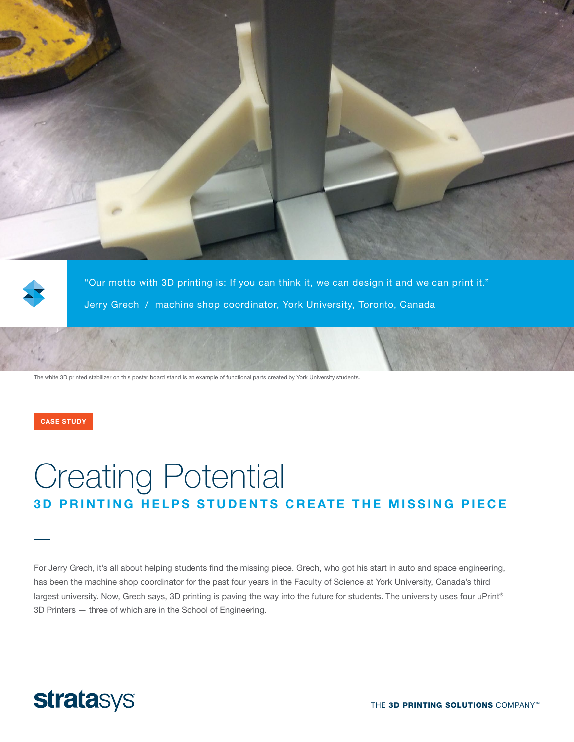



"Our motto with 3D printing is: If you can think it, we can design it and we can print it." Jerry Grech / machine shop coordinator, York University, Toronto, Canada

The white 3D printed stabilizer on this poster board stand is an example of functional parts created by York University students.

CASE STUDY

# Creating Potential 3D PRINTING HELPS STUDENTS CREATE THE MISSING PIECE

For Jerry Grech, it's all about helping students find the missing piece. Grech, who got his start in auto and space engineering, has been the machine shop coordinator for the past four years in the Faculty of Science at York University, Canada's third largest university. Now, Grech says, 3D printing is paving the way into the future for students. The university uses four uPrint® 3D Printers — three of which are in the School of Engineering.

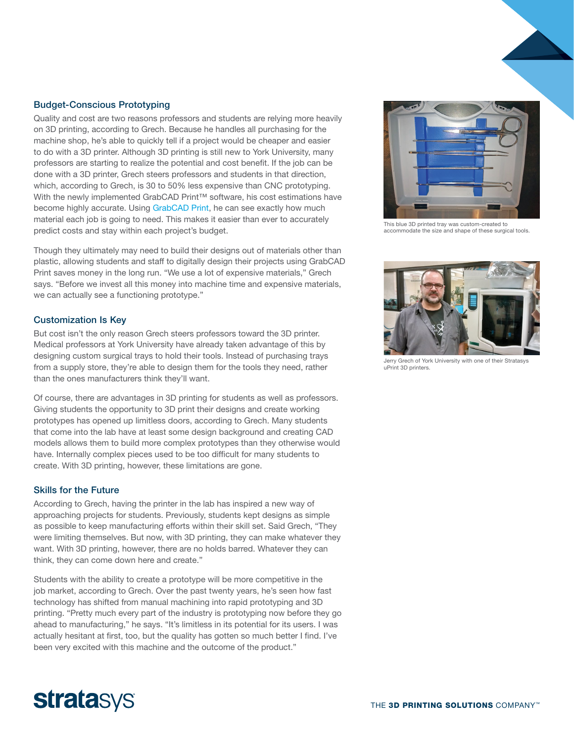## Budget-Conscious Prototyping

Quality and cost are two reasons professors and students are relying more heavily on 3D printing, according to Grech. Because he handles all purchasing for the machine shop, he's able to quickly tell if a project would be cheaper and easier to do with a 3D printer. Although 3D printing is still new to York University, many professors are starting to realize the potential and cost benefit. If the job can be done with a 3D printer, Grech steers professors and students in that direction, which, according to Grech, is 30 to 50% less expensive than CNC prototyping. With the newly implemented GrabCAD Print™ software, his cost estimations have become highly accurate. Using [GrabCAD Print,](https://grabcad.com/print) he can see exactly how much material each job is going to need. This makes it easier than ever to accurately predict costs and stay within each project's budget.

Though they ultimately may need to build their designs out of materials other than plastic, allowing students and staff to digitally design their projects using GrabCAD Print saves money in the long run. "We use a lot of expensive materials," Grech says. "Before we invest all this money into machine time and expensive materials, we can actually see a functioning prototype."

### Customization Is Key

But cost isn't the only reason Grech steers professors toward the 3D printer. Medical professors at York University have already taken advantage of this by designing custom surgical trays to hold their tools. Instead of purchasing trays from a supply store, they're able to design them for the tools they need, rather than the ones manufacturers think they'll want.

Of course, there are advantages in 3D printing for students as well as professors. Giving students the opportunity to 3D print their designs and create working prototypes has opened up limitless doors, according to Grech. Many students that come into the lab have at least some design background and creating CAD models allows them to build more complex prototypes than they otherwise would have. Internally complex pieces used to be too difficult for many students to create. With 3D printing, however, these limitations are gone.

### Skills for the Future

According to Grech, having the printer in the lab has inspired a new way of approaching projects for students. Previously, students kept designs as simple as possible to keep manufacturing efforts within their skill set. Said Grech, "They were limiting themselves. But now, with 3D printing, they can make whatever they want. With 3D printing, however, there are no holds barred. Whatever they can think, they can come down here and create."

Students with the ability to create a prototype will be more competitive in the job market, according to Grech. Over the past twenty years, he's seen how fast technology has shifted from manual machining into rapid prototyping and 3D printing. "Pretty much every part of the industry is prototyping now before they go ahead to manufacturing," he says. "It's limitless in its potential for its users. I was actually hesitant at first, too, but the quality has gotten so much better I find. I've been very excited with this machine and the outcome of the product."



This blue 3D printed tray was custom-created to accommodate the size and shape of these surgical tools.



Jerry Grech of York University with one of their Stratasys uPrint 3D printers.